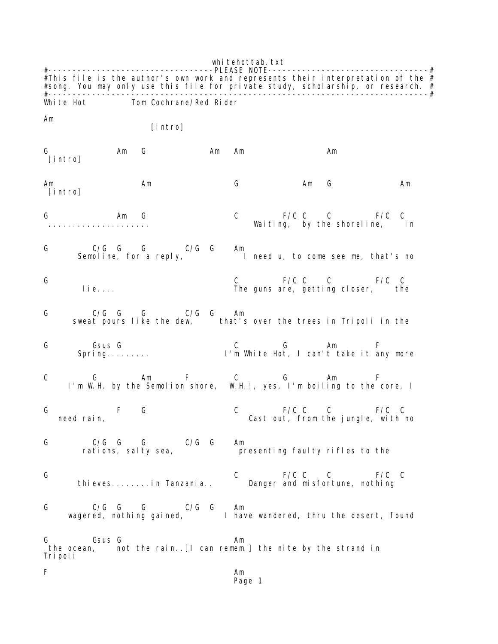|                                                                                                                                                                                                                                            |                                                                                                        |        |                                           |                                  |              | whitehottab.txt<br>#--------------------------------PLEASE NOTE----------------------------------#                                                                   |               |               |  |
|--------------------------------------------------------------------------------------------------------------------------------------------------------------------------------------------------------------------------------------------|--------------------------------------------------------------------------------------------------------|--------|-------------------------------------------|----------------------------------|--------------|----------------------------------------------------------------------------------------------------------------------------------------------------------------------|---------------|---------------|--|
|                                                                                                                                                                                                                                            |                                                                                                        |        |                                           |                                  |              | #This file is the author's own work and represents their interpretation of the #<br>#song. You may only use this file for private study, scholarship, or research. # |               |               |  |
|                                                                                                                                                                                                                                            |                                                                                                        |        |                                           | White Hot Tom Cochrane/Red Rider |              |                                                                                                                                                                      |               |               |  |
| Am                                                                                                                                                                                                                                         |                                                                                                        |        | [intro]                                   |                                  |              |                                                                                                                                                                      |               |               |  |
| G<br>[intro]                                                                                                                                                                                                                               |                                                                                                        |        | Am G                                      | Am                               | Am           |                                                                                                                                                                      | Am            |               |  |
| Am<br>[intro]                                                                                                                                                                                                                              |                                                                                                        |        | Am                                        |                                  | G            | Am                                                                                                                                                                   | G             | Am            |  |
| G                                                                                                                                                                                                                                          | $\alpha$ , and a set of the set of the set of the set of the set of the set of the set of the $\alpha$ | Am     | G                                         |                                  | C            | Waiting, by the shoreline, in                                                                                                                                        |               | F/C C C F/C C |  |
| G —                                                                                                                                                                                                                                        |                                                                                                        |        | Semoline, for a reply,                    | C/G G G C/G G                    | Am           | I need u, to come see me, that's no                                                                                                                                  |               |               |  |
| G                                                                                                                                                                                                                                          | lie.                                                                                                   |        |                                           |                                  |              | C F/CCC C F/CC<br>The guns are, getting closer, the                                                                                                                  |               |               |  |
| G                                                                                                                                                                                                                                          |                                                                                                        |        |                                           | C/G G G C/G G Am                 |              | sweat pours like the dew, that's over the trees in Tripoli in the                                                                                                    |               |               |  |
| G                                                                                                                                                                                                                                          | Gsus G<br>Spring                                                                                       |        |                                           |                                  |              | C     G     Am     F<br>I'm White Hot, I can't take it any more                                                                                                      |               |               |  |
| C                                                                                                                                                                                                                                          |                                                                                                        |        |                                           |                                  |              | G Am F C G Am F<br>I'm W.H. by the Semolion shore, W.H.!, yes, I'm boiling to the core, I                                                                            |               |               |  |
| G                                                                                                                                                                                                                                          | need rain,                                                                                             | F      | G                                         |                                  | C            | F/C C C C F/C C<br>Cast out, from the jungle, with no                                                                                                                |               |               |  |
| G                                                                                                                                                                                                                                          |                                                                                                        |        | C/G G G C/G G<br>rations, salty sea,      |                                  | Am           | presenting faulty rifles to the                                                                                                                                      |               |               |  |
| G                                                                                                                                                                                                                                          |                                                                                                        |        | thi eves in Tanzania                      |                                  | $\mathsf{C}$ | Danger and misfortune, nothing                                                                                                                                       | $F/C$ $C$ $C$ | $F/C$ $C$     |  |
| G                                                                                                                                                                                                                                          |                                                                                                        |        | C/G G G C/G G<br>wagered, nothing gained, |                                  | Am           | I have wandered, thru the desert, found                                                                                                                              |               |               |  |
| $G$ and $G$ and $G$ and $G$ and $G$ and $G$ and $G$ and $G$ and $G$ and $G$ and $G$ and $G$ and $G$ and $G$ and $G$ and $G$ and $G$ and $G$ and $G$ and $G$ and $G$ and $G$ and $G$ and $G$ and $G$ and $G$ and $G$ and $G$ a<br>Tri pol i |                                                                                                        | Gsus G |                                           |                                  | Am           |                                                                                                                                                                      |               |               |  |
| F                                                                                                                                                                                                                                          |                                                                                                        |        |                                           |                                  | Am<br>Page 1 |                                                                                                                                                                      |               |               |  |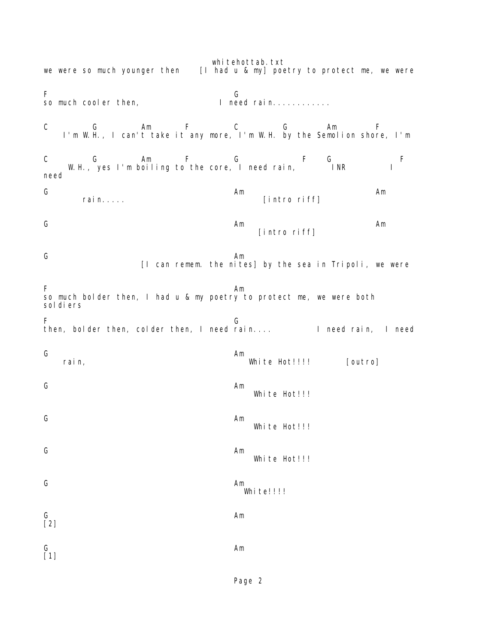whi tehottab.txt we were so much younger then [I had u & my] poetry to protect me, we were F G so much cooler then, I need rain............ C G Am F C G Am F I'm W.H., I can't take it any more, I'm W.H. by the Semolion shore, I'm C G Am F G F G F W.H., yes I'm boiling to the core, I need rain, INR INR III. need G Am Am rain..... [intro riff] G Am Am [intro riff]  $G$  American contract  $\mathcal{A}$  m [I can remem. the nites] by the sea in Tripoli, we were F American contract to the contract of the American contract of  $A$ m so much bolder then, I had u & my poetry to protect me, we were both sol di ers F G then, bolder then, colder then, I need rain.... I need rain, I need  $G$  American contract  $\mathcal{A}$  m rain, The Motion of the Hot!!!! [outro]  $G$  American contract  $\mathcal{A}$  m White Hot!!! G American contract of the state of the state of the state of the state of the state of the state of the state of the state of the state of the state of the state of the state of the state of the state of the state of the White Hot!!! G American contract of the state of the state of the state of the state of the state of the state of the state of the state of the state of the state of the state of the state of the state of the state of the state of the White Hot!!!  $G$  American contract  $\mathcal{A}$  m White!!!!  $G$  American contract  $\mathcal{A}$  m G<br>[2] G American contract of the state of the state of the state of the state of the state of the state of the state of the state of the state of the state of the state of the state of the state of the state of the state of the [1]